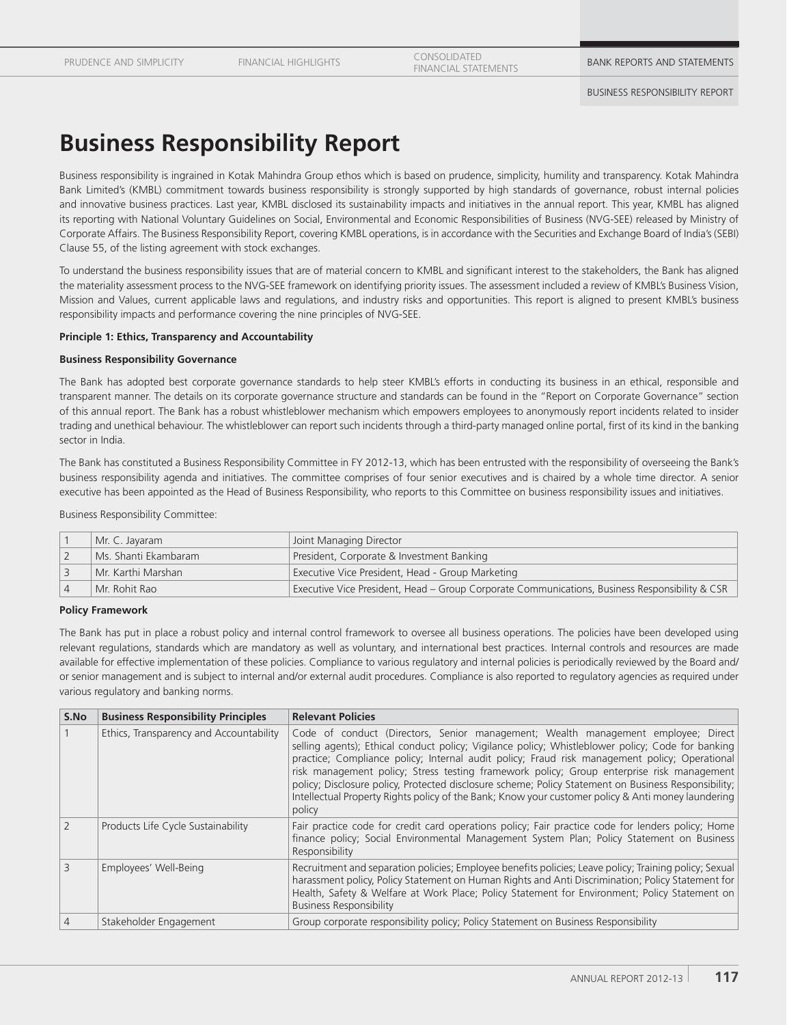FINANCIAL HIGHLIGHTS CONSOLIDATED

EUNSULIDATED<br>FINANCIAL STATEMENTS **BANK REPORTS AND STATEMENTS** 

# **Business Responsibility Report**

Business responsibility is ingrained in Kotak Mahindra Group ethos which is based on prudence, simplicity, humility and transparency. Kotak Mahindra Bank Limited's (KMBL) commitment towards business responsibility is strongly supported by high standards of governance, robust internal policies and innovative business practices. Last year, KMBL disclosed its sustainability impacts and initiatives in the annual report. This year, KMBL has aligned its reporting with National Voluntary Guidelines on Social, Environmental and Economic Responsibilities of Business (NVG-SEE) released by Ministry of Corporate Affairs. The Business Responsibility Report, covering KMBL operations, is in accordance with the Securities and Exchange Board of India's (SEBI) Clause 55, of the listing agreement with stock exchanges.

To understand the business responsibility issues that are of material concern to KMBL and significant interest to the stakeholders, the Bank has aligned the materiality assessment process to the NVG-SEE framework on identifying priority issues. The assessment included a review of KMBL's Business Vision, Mission and Values, current applicable laws and regulations, and industry risks and opportunities. This report is aligned to present KMBL's business responsibility impacts and performance covering the nine principles of NVG-SEE.

#### **Principle 1: Ethics, Transparency and Accountability**

#### **Business Responsibility Governance**

The Bank has adopted best corporate governance standards to help steer KMBL's efforts in conducting its business in an ethical, responsible and transparent manner. The details on its corporate governance structure and standards can be found in the "Report on Corporate Governance" section of this annual report. The Bank has a robust whistleblower mechanism which empowers employees to anonymously report incidents related to insider trading and unethical behaviour. The whistleblower can report such incidents through a third-party managed online portal, first of its kind in the banking sector in India.

The Bank has constituted a Business Responsibility Committee in FY 2012-13, which has been entrusted with the responsibility of overseeing the Bank's business responsibility agenda and initiatives. The committee comprises of four senior executives and is chaired by a whole time director. A senior executive has been appointed as the Head of Business Responsibility, who reports to this Committee on business responsibility issues and initiatives.

Business Responsibility Committee:

| Mr. C. Jayaram           | Joint Managing Director                                                                        |  |
|--------------------------|------------------------------------------------------------------------------------------------|--|
| l Ms. Shanti Ekambaram i | President, Corporate & Investment Banking                                                      |  |
| l Mr. Karthi Marshan .   | Executive Vice President, Head - Group Marketing                                               |  |
| Mr. Rohit Rao            | Executive Vice President, Head – Group Corporate Communications, Business Responsibility & CSR |  |

#### **Policy Framework**

The Bank has put in place a robust policy and internal control framework to oversee all business operations. The policies have been developed using relevant regulations, standards which are mandatory as well as voluntary, and international best practices. Internal controls and resources are made available for effective implementation of these policies. Compliance to various regulatory and internal policies is periodically reviewed by the Board and/ or senior management and is subject to internal and/or external audit procedures. Compliance is also reported to regulatory agencies as required under various regulatory and banking norms.

| S.No                     | <b>Business Responsibility Principles</b> | <b>Relevant Policies</b>                                                                                                                                                                                                                                                                                                                                                                                                                                                                                                                                                                                     |
|--------------------------|-------------------------------------------|--------------------------------------------------------------------------------------------------------------------------------------------------------------------------------------------------------------------------------------------------------------------------------------------------------------------------------------------------------------------------------------------------------------------------------------------------------------------------------------------------------------------------------------------------------------------------------------------------------------|
|                          | Ethics, Transparency and Accountability   | Code of conduct (Directors, Senior management; Wealth management employee; Direct<br>selling agents); Ethical conduct policy; Vigilance policy; Whistleblower policy; Code for banking<br>practice; Compliance policy; Internal audit policy; Fraud risk management policy; Operational<br>risk management policy; Stress testing framework policy; Group enterprise risk management<br>policy; Disclosure policy, Protected disclosure scheme; Policy Statement on Business Responsibility;<br>Intellectual Property Rights policy of the Bank; Know your customer policy & Anti money laundering<br>policy |
| $\overline{\phantom{0}}$ | Products Life Cycle Sustainability        | Fair practice code for credit card operations policy; Fair practice code for lenders policy; Home<br>finance policy; Social Environmental Management System Plan; Policy Statement on Business<br>Responsibility                                                                                                                                                                                                                                                                                                                                                                                             |
| $\mathcal{L}$            | Employees' Well-Being                     | Recruitment and separation policies; Employee benefits policies; Leave policy; Training policy; Sexual<br>harassment policy, Policy Statement on Human Rights and Anti Discrimination; Policy Statement for<br>Health, Safety & Welfare at Work Place; Policy Statement for Environment; Policy Statement on<br><b>Business Responsibility</b>                                                                                                                                                                                                                                                               |
| $\overline{4}$           | Stakeholder Engagement                    | Group corporate responsibility policy; Policy Statement on Business Responsibility                                                                                                                                                                                                                                                                                                                                                                                                                                                                                                                           |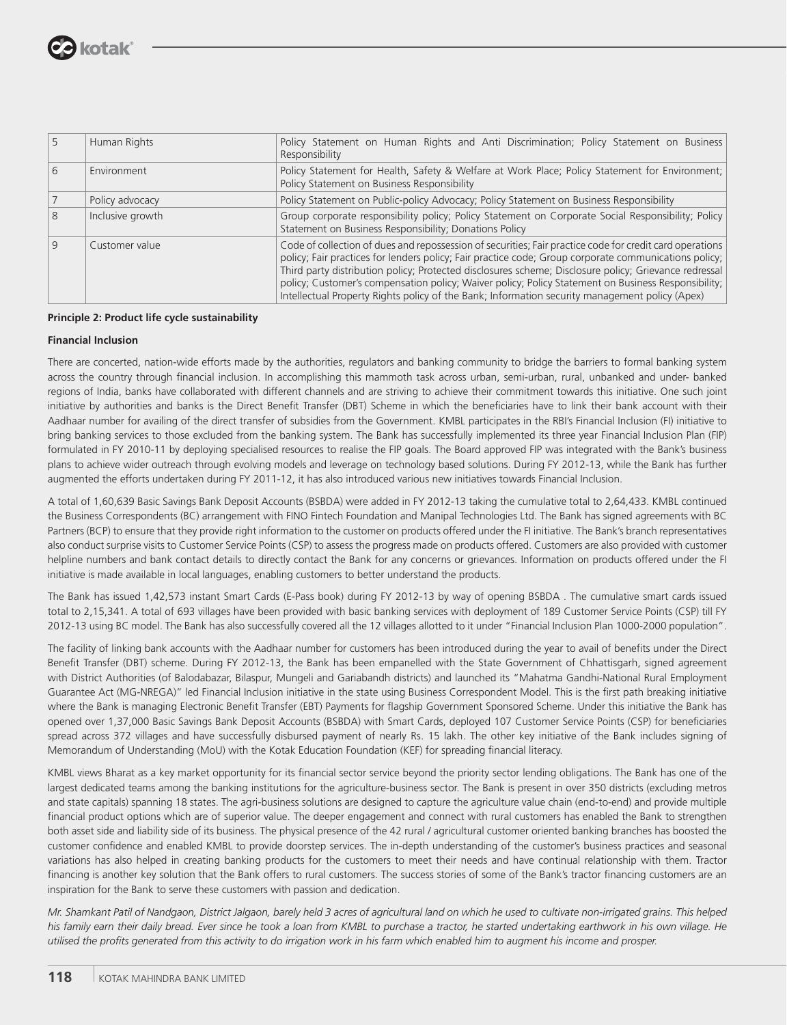

|              | Human Rights     | Policy Statement on Human Rights and Anti Discrimination; Policy Statement on Business<br>Responsibility                                                                                                                                                                                                                                                                                                                                                                                                                            |  |  |  |
|--------------|------------------|-------------------------------------------------------------------------------------------------------------------------------------------------------------------------------------------------------------------------------------------------------------------------------------------------------------------------------------------------------------------------------------------------------------------------------------------------------------------------------------------------------------------------------------|--|--|--|
|              | Environment      | Policy Statement for Health, Safety & Welfare at Work Place; Policy Statement for Environment;<br>Policy Statement on Business Responsibility                                                                                                                                                                                                                                                                                                                                                                                       |  |  |  |
|              | Policy advocacy  | Policy Statement on Public-policy Advocacy; Policy Statement on Business Responsibility                                                                                                                                                                                                                                                                                                                                                                                                                                             |  |  |  |
|              | Inclusive growth | Group corporate responsibility policy; Policy Statement on Corporate Social Responsibility; Policy<br>Statement on Business Responsibility; Donations Policy                                                                                                                                                                                                                                                                                                                                                                        |  |  |  |
| <sup>Q</sup> | Customer value   | Code of collection of dues and repossession of securities; Fair practice code for credit card operations<br>policy; Fair practices for lenders policy; Fair practice code; Group corporate communications policy;<br>Third party distribution policy; Protected disclosures scheme; Disclosure policy; Grievance redressal<br>policy; Customer's compensation policy; Waiver policy; Policy Statement on Business Responsibility;<br>Intellectual Property Rights policy of the Bank; Information security management policy (Apex) |  |  |  |

#### **Principle 2: Product life cycle sustainability**

#### **Financial Inclusion**

There are concerted, nation-wide efforts made by the authorities, regulators and banking community to bridge the barriers to formal banking system across the country through financial inclusion. In accomplishing this mammoth task across urban, semi-urban, rural, unbanked and under- banked regions of India, banks have collaborated with different channels and are striving to achieve their commitment towards this initiative. One such joint initiative by authorities and banks is the Direct Benefit Transfer (DBT) Scheme in which the beneficiaries have to link their bank account with their Aadhaar number for availing of the direct transfer of subsidies from the Government. KMBL participates in the RBI's Financial Inclusion (FI) initiative to bring banking services to those excluded from the banking system. The Bank has successfully implemented its three year Financial Inclusion Plan (FIP) formulated in FY 2010-11 by deploying specialised resources to realise the FIP goals. The Board approved FIP was integrated with the Bank's business plans to achieve wider outreach through evolving models and leverage on technology based solutions. During FY 2012-13, while the Bank has further augmented the efforts undertaken during FY 2011-12, it has also introduced various new initiatives towards Financial Inclusion.

A total of 1,60,639 Basic Savings Bank Deposit Accounts (BSBDA) were added in FY 2012-13 taking the cumulative total to 2,64,433. KMBL continued the Business Correspondents (BC) arrangement with FINO Fintech Foundation and Manipal Technologies Ltd. The Bank has signed agreements with BC Partners (BCP) to ensure that they provide right information to the customer on products offered under the FI initiative. The Bank's branch representatives also conduct surprise visits to Customer Service Points (CSP) to assess the progress made on products offered. Customers are also provided with customer helpline numbers and bank contact details to directly contact the Bank for any concerns or grievances. Information on products offered under the FI initiative is made available in local languages, enabling customers to better understand the products.

The Bank has issued 1,42,573 instant Smart Cards (E-Pass book) during FY 2012-13 by way of opening BSBDA . The cumulative smart cards issued total to 2,15,341. A total of 693 villages have been provided with basic banking services with deployment of 189 Customer Service Points (CSP) till FY 2012-13 using BC model. The Bank has also successfully covered all the 12 villages allotted to it under "Financial Inclusion Plan 1000-2000 population".

The facility of linking bank accounts with the Aadhaar number for customers has been introduced during the year to avail of benefits under the Direct Benefit Transfer (DBT) scheme. During FY 2012-13, the Bank has been empanelled with the State Government of Chhattisgarh, signed agreement with District Authorities (of Balodabazar, Bilaspur, Mungeli and Gariabandh districts) and launched its "Mahatma Gandhi-National Rural Employment Guarantee Act (MG-NREGA)" led Financial Inclusion initiative in the state using Business Correspondent Model. This is the first path breaking initiative where the Bank is managing Electronic Benefit Transfer (EBT) Payments for flagship Government Sponsored Scheme. Under this initiative the Bank has opened over 1,37,000 Basic Savings Bank Deposit Accounts (BSBDA) with Smart Cards, deployed 107 Customer Service Points (CSP) for beneficiaries spread across 372 villages and have successfully disbursed payment of nearly Rs. 15 lakh. The other key initiative of the Bank includes signing of Memorandum of Understanding (MoU) with the Kotak Education Foundation (KEF) for spreading financial literacy.

KMBL views Bharat as a key market opportunity for its financial sector service beyond the priority sector lending obligations. The Bank has one of the largest dedicated teams among the banking institutions for the agriculture-business sector. The Bank is present in over 350 districts (excluding metros and state capitals) spanning 18 states. The agri-business solutions are designed to capture the agriculture value chain (end-to-end) and provide multiple financial product options which are of superior value. The deeper engagement and connect with rural customers has enabled the Bank to strengthen both asset side and liability side of its business. The physical presence of the 42 rural / agricultural customer oriented banking branches has boosted the customer confidence and enabled KMBL to provide doorstep services. The in-depth understanding of the customer's business practices and seasonal variations has also helped in creating banking products for the customers to meet their needs and have continual relationship with them. Tractor financing is another key solution that the Bank offers to rural customers. The success stories of some of the Bank's tractor financing customers are an inspiration for the Bank to serve these customers with passion and dedication.

*Mr. Shamkant Patil of Nandgaon, District Jalgaon, barely held 3 acres of agricultural land on which he used to cultivate non-irrigated grains. This helped his family earn their daily bread. Ever since he took a loan from KMBL to purchase a tractor, he started undertaking earthwork in his own village. He*  utilised the profits generated from this activity to do irrigation work in his farm which enabled him to augment his income and prosper.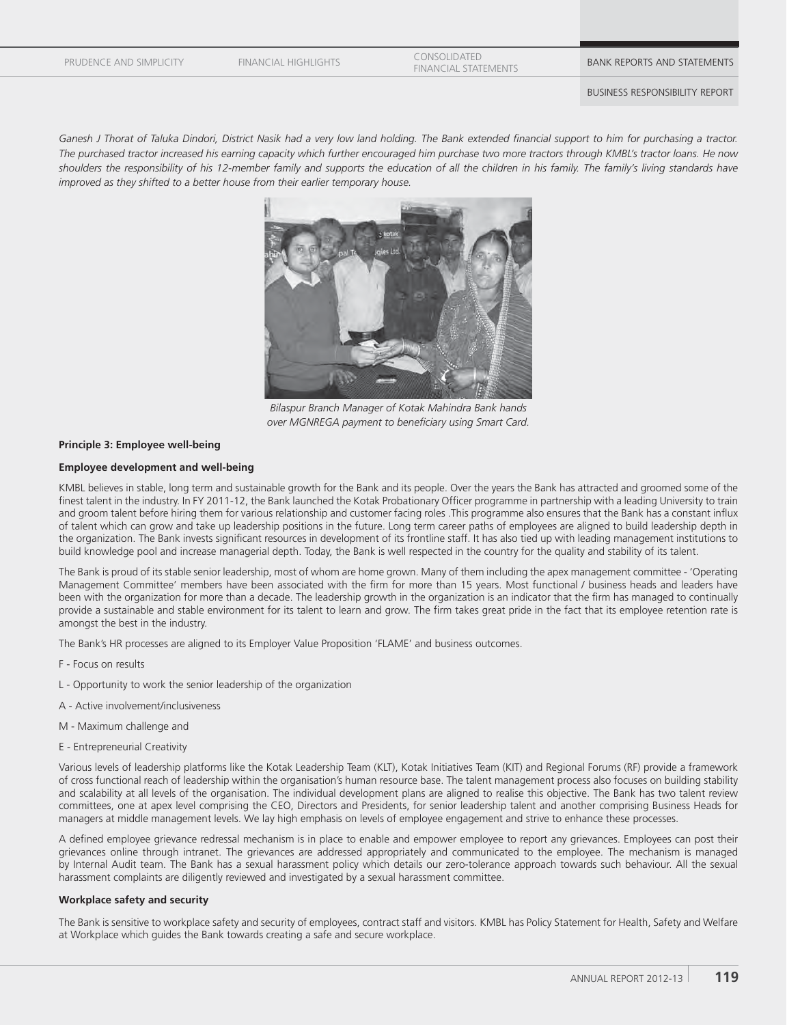FINANCIAL HIGHLIGHTS CONSOLIDATED

EUNSULIDATED<br>FINANCIAL STATEMENTS **BANK REPORTS AND STATEMENTS** 

BUSINESS RESPONSIBILITY REPORT

Ganesh J Thorat of Taluka Dindori, District Nasik had a very low land holding. The Bank extended financial support to him for purchasing a tractor. *The purchased tractor increased his earning capacity which further encouraged him purchase two more tractors through KMBL's tractor loans. He now*  shoulders the responsibility of his 12-member family and supports the education of all the children in his family. The family's living standards have *improved as they shifted to a better house from their earlier temporary house.*



*Bilaspur Branch Manager of Kotak Mahindra Bank hands*  over MGNREGA payment to beneficiary using Smart Card.

#### **Principle 3: Employee well-being**

#### **Employee development and well-being**

KMBL believes in stable, long term and sustainable growth for the Bank and its people. Over the years the Bank has attracted and groomed some of the finest talent in the industry. In FY 2011-12, the Bank launched the Kotak Probationary Officer programme in partnership with a leading University to train and groom talent before hiring them for various relationship and customer facing roles .This programme also ensures that the Bank has a constant influx of talent which can grow and take up leadership positions in the future. Long term career paths of employees are aligned to build leadership depth in the organization. The Bank invests significant resources in development of its frontline staff. It has also tied up with leading management institutions to build knowledge pool and increase managerial depth. Today, the Bank is well respected in the country for the quality and stability of its talent.

The Bank is proud of its stable senior leadership, most of whom are home grown. Many of them including the apex management committee - 'Operating Management Committee' members have been associated with the firm for more than 15 years. Most functional / business heads and leaders have been with the organization for more than a decade. The leadership growth in the organization is an indicator that the firm has managed to continually provide a sustainable and stable environment for its talent to learn and grow. The firm takes great pride in the fact that its employee retention rate is amongst the best in the industry.

The Bank's HR processes are aligned to its Employer Value Proposition 'FLAME' and business outcomes.

- F Focus on results
- L Opportunity to work the senior leadership of the organization
- A Active involvement/inclusiveness
- M Maximum challenge and
- E Entrepreneurial Creativity

Various levels of leadership platforms like the Kotak Leadership Team (KLT), Kotak Initiatives Team (KIT) and Regional Forums (RF) provide a framework of cross functional reach of leadership within the organisation's human resource base. The talent management process also focuses on building stability and scalability at all levels of the organisation. The individual development plans are aligned to realise this objective. The Bank has two talent review committees, one at apex level comprising the CEO, Directors and Presidents, for senior leadership talent and another comprising Business Heads for managers at middle management levels. We lay high emphasis on levels of employee engagement and strive to enhance these processes.

A defined employee grievance redressal mechanism is in place to enable and empower employee to report any grievances. Employees can post their grievances online through intranet. The grievances are addressed appropriately and communicated to the employee. The mechanism is managed by Internal Audit team. The Bank has a sexual harassment policy which details our zero-tolerance approach towards such behaviour. All the sexual harassment complaints are diligently reviewed and investigated by a sexual harassment committee.

#### **Workplace safety and security**

The Bank is sensitive to workplace safety and security of employees, contract staff and visitors. KMBL has Policy Statement for Health, Safety and Welfare at Workplace which guides the Bank towards creating a safe and secure workplace.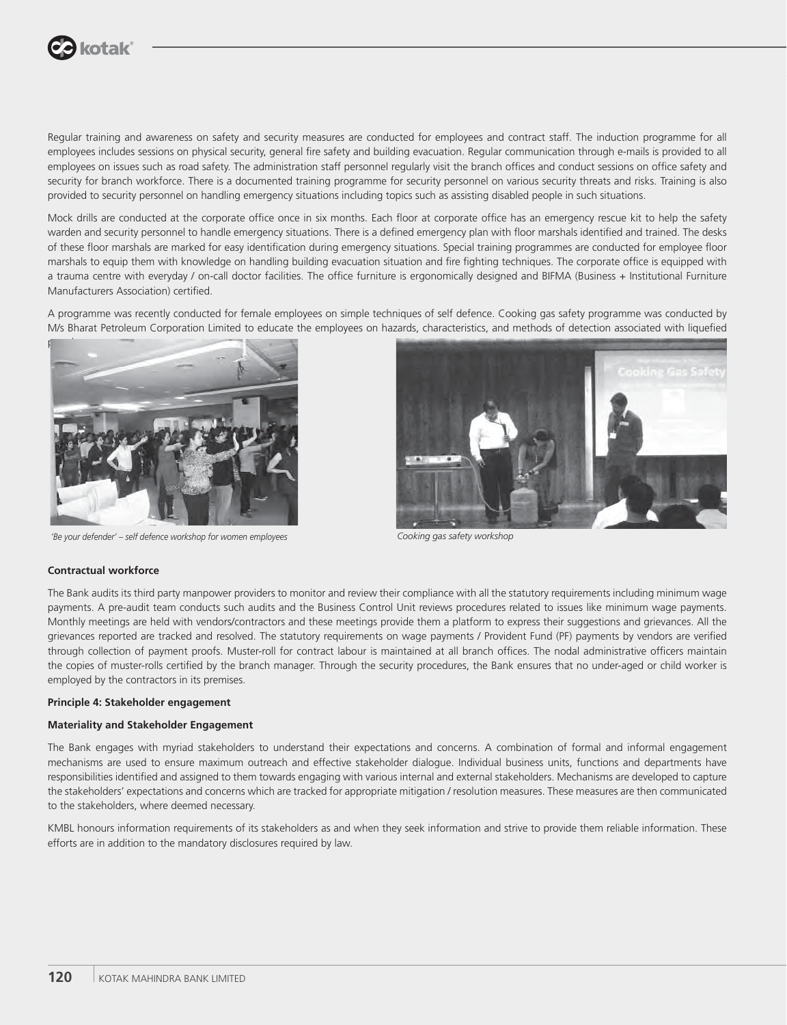

Regular training and awareness on safety and security measures are conducted for employees and contract staff. The induction programme for all employees includes sessions on physical security, general fire safety and building evacuation. Regular communication through e-mails is provided to all employees on issues such as road safety. The administration staff personnel regularly visit the branch offices and conduct sessions on office safety and security for branch workforce. There is a documented training programme for security personnel on various security threats and risks. Training is also provided to security personnel on handling emergency situations including topics such as assisting disabled people in such situations.

Mock drills are conducted at the corporate office once in six months. Each floor at corporate office has an emergency rescue kit to help the safety warden and security personnel to handle emergency situations. There is a defined emergency plan with floor marshals identified and trained. The desks of these floor marshals are marked for easy identification during emergency situations. Special training programmes are conducted for employee floor marshals to equip them with knowledge on handling building evacuation situation and fire fighting techniques. The corporate office is equipped with a trauma centre with everyday / on-call doctor facilities. The office furniture is ergonomically designed and BIFMA (Business + Institutional Furniture Manufacturers Association) certified.

A programme was recently conducted for female employees on simple techniques of self defence. Cooking gas safety programme was conducted by M/s Bharat Petroleum Corporation Limited to educate the employees on hazards, characteristics, and methods of detection associated with liquefied



*'Be your defender' – self defence workshop for women employees Cooking gas safety workshop*



#### **Contractual workforce**

The Bank audits its third party manpower providers to monitor and review their compliance with all the statutory requirements including minimum wage payments. A pre-audit team conducts such audits and the Business Control Unit reviews procedures related to issues like minimum wage payments. Monthly meetings are held with vendors/contractors and these meetings provide them a platform to express their suggestions and grievances. All the grievances reported are tracked and resolved. The statutory requirements on wage payments / Provident Fund (PF) payments by vendors are verified through collection of payment proofs. Muster-roll for contract labour is maintained at all branch offices. The nodal administrative officers maintain the copies of muster-rolls certified by the branch manager. Through the security procedures, the Bank ensures that no under-aged or child worker is employed by the contractors in its premises.

#### **Principle 4: Stakeholder engagement**

#### **Materiality and Stakeholder Engagement**

The Bank engages with myriad stakeholders to understand their expectations and concerns. A combination of formal and informal engagement mechanisms are used to ensure maximum outreach and effective stakeholder dialogue. Individual business units, functions and departments have responsibilities identified and assigned to them towards engaging with various internal and external stakeholders. Mechanisms are developed to capture the stakeholders' expectations and concerns which are tracked for appropriate mitigation / resolution measures. These measures are then communicated to the stakeholders, where deemed necessary.

KMBL honours information requirements of its stakeholders as and when they seek information and strive to provide them reliable information. These efforts are in addition to the mandatory disclosures required by law.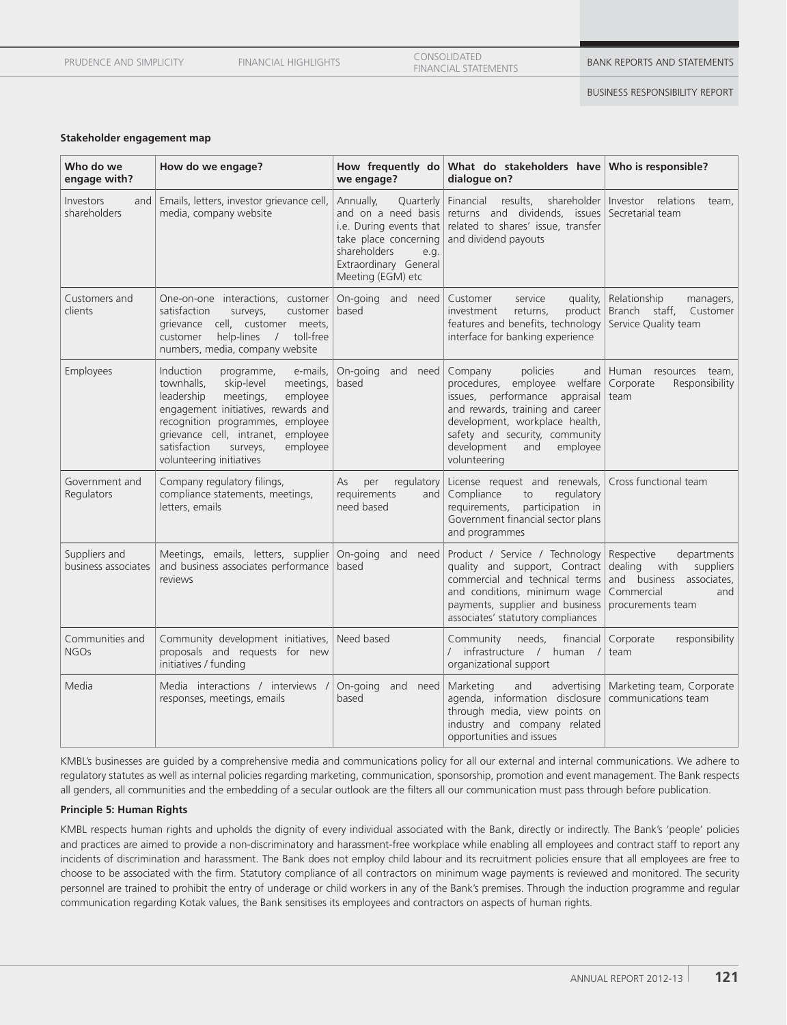| PRUDENCE AND SIMPLICITY | <b>FINANCIAL HIGHLIGHTS</b> | CONSOLIDATED<br><b>FINANCIAL STATEMENTS</b> | <b>BANK REPORTS AND STATEMENTS</b> |
|-------------------------|-----------------------------|---------------------------------------------|------------------------------------|
|                         |                             |                                             |                                    |

#### BUSINESS RESPONSIBILITY REPORT

#### **Stakeholder engagement map**

| Who do we<br>engage with?            | How do we engage?                                                                                                                                                                                                                                                                                                  | How frequently do<br>we engage?                                                                                                                                         | What do stakeholders have Who is responsible?<br>dialoque on?                                                                                                                                                                                         |                                                                                                                                 |
|--------------------------------------|--------------------------------------------------------------------------------------------------------------------------------------------------------------------------------------------------------------------------------------------------------------------------------------------------------------------|-------------------------------------------------------------------------------------------------------------------------------------------------------------------------|-------------------------------------------------------------------------------------------------------------------------------------------------------------------------------------------------------------------------------------------------------|---------------------------------------------------------------------------------------------------------------------------------|
| Investors<br>and<br>shareholders     | Emails, letters, investor grievance cell,<br>media, company website                                                                                                                                                                                                                                                | Annually,<br>Quarterly<br>and on a need basis<br>i.e. During events that<br>take place concerning<br>shareholders<br>e.g.<br>Extraordinary General<br>Meeting (EGM) etc | Financial<br>results,<br>returns and dividends, issues<br>related to shares' issue, transfer<br>and dividend payouts                                                                                                                                  | shareholder Investor relations<br>team.<br>Secretarial team                                                                     |
| Customers and<br>clients             | One-on-one interactions, customer<br>satisfaction<br>customer<br>surveys,<br>grievance cell, customer meets,<br>help-lines<br>$\sqrt{2}$<br>toll-free<br>customer<br>numbers, media, company website                                                                                                               | On-going and need<br>based                                                                                                                                              | Customer<br>service<br>quality,<br>product<br>investment<br>returns,<br>features and benefits, technology<br>interface for banking experience                                                                                                         | Relationship<br>managers,<br>Branch staff,<br>Customer<br>Service Quality team                                                  |
| Employees                            | <b>Induction</b><br>programme,<br>e-mails,<br>townhalls,<br>skip-level<br>meetings,<br>leadership<br>employee<br>meetings,<br>engagement initiatives, rewards and<br>recognition programmes, employee<br>grievance cell, intranet,<br>employee<br>satisfaction<br>employee<br>surveys,<br>volunteering initiatives | On-going and need<br>based                                                                                                                                              | Company<br>policies<br>and<br>procedures, employee welfare<br>issues, performance appraisal<br>and rewards, training and career<br>development, workplace health,<br>safety and security, community<br>development<br>and<br>employee<br>volunteering | Human resources<br>team,<br>Corporate<br>Responsibility<br>team                                                                 |
| Government and<br>Regulators         | Company regulatory filings,<br>compliance statements, meetings,<br>letters, emails                                                                                                                                                                                                                                 | per<br>regulatory<br>As<br>requirements<br>and<br>need based                                                                                                            | License request and renewals,<br>Compliance<br>regulatory<br>to<br>participation in<br>requirements,<br>Government financial sector plans<br>and programmes                                                                                           | Cross functional team                                                                                                           |
| Suppliers and<br>business associates | Meetings, emails, letters, supplier<br>and business associates performance<br>reviews                                                                                                                                                                                                                              | On-going<br>and<br>need<br>based                                                                                                                                        | Product / Service / Technology<br>quality and support, Contract<br>commercial and technical terms<br>and conditions, minimum wage<br>payments, supplier and business<br>associates' statutory compliances                                             | Respective<br>departments<br>dealing<br>with<br>suppliers<br>and business associates,<br>Commercial<br>and<br>procurements team |
| Communities and<br><b>NGOs</b>       | Community development initiatives,<br>proposals and requests for new<br>initiatives / funding                                                                                                                                                                                                                      | Need based                                                                                                                                                              | Community<br>financial<br>needs,<br>/ infrastructure / human /<br>organizational support                                                                                                                                                              | Corporate<br>responsibility<br>team                                                                                             |
| Media                                | Media interactions / interviews /<br>responses, meetings, emails                                                                                                                                                                                                                                                   | On-going<br>and need<br>based                                                                                                                                           | Marketing<br>advertising<br>and<br>agenda, information disclosure<br>through media, view points on<br>industry and company related<br>opportunities and issues                                                                                        | Marketing team, Corporate<br>communications team                                                                                |

KMBL's businesses are guided by a comprehensive media and communications policy for all our external and internal communications. We adhere to regulatory statutes as well as internal policies regarding marketing, communication, sponsorship, promotion and event management. The Bank respects all genders, all communities and the embedding of a secular outlook are the filters all our communication must pass through before publication.

# **Principle 5: Human Rights**

KMBL respects human rights and upholds the dignity of every individual associated with the Bank, directly or indirectly. The Bank's 'people' policies and practices are aimed to provide a non-discriminatory and harassment-free workplace while enabling all employees and contract staff to report any incidents of discrimination and harassment. The Bank does not employ child labour and its recruitment policies ensure that all employees are free to choose to be associated with the firm. Statutory compliance of all contractors on minimum wage payments is reviewed and monitored. The security personnel are trained to prohibit the entry of underage or child workers in any of the Bank's premises. Through the induction programme and regular communication regarding Kotak values, the Bank sensitises its employees and contractors on aspects of human rights.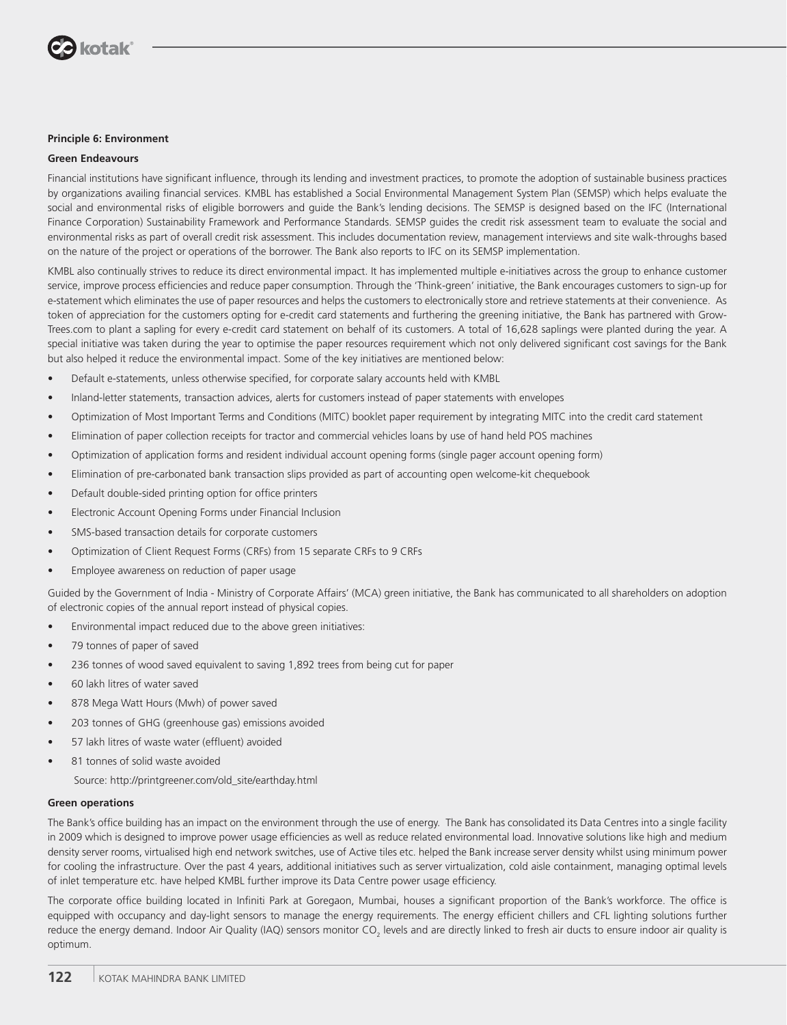

#### **Principle 6: Environment**

#### **Green Endeavours**

Financial institutions have significant influence, through its lending and investment practices, to promote the adoption of sustainable business practices by organizations availing financial services. KMBL has established a Social Environmental Management System Plan (SEMSP) which helps evaluate the social and environmental risks of eligible borrowers and guide the Bank's lending decisions. The SEMSP is designed based on the IFC (International Finance Corporation) Sustainability Framework and Performance Standards. SEMSP guides the credit risk assessment team to evaluate the social and environmental risks as part of overall credit risk assessment. This includes documentation review, management interviews and site walk-throughs based on the nature of the project or operations of the borrower. The Bank also reports to IFC on its SEMSP implementation.

KMBL also continually strives to reduce its direct environmental impact. It has implemented multiple e-initiatives across the group to enhance customer service, improve process efficiencies and reduce paper consumption. Through the 'Think-green' initiative, the Bank encourages customers to sign-up for e-statement which eliminates the use of paper resources and helps the customers to electronically store and retrieve statements at their convenience. As token of appreciation for the customers opting for e-credit card statements and furthering the greening initiative, the Bank has partnered with Grow-Trees.com to plant a sapling for every e-credit card statement on behalf of its customers. A total of 16,628 saplings were planted during the year. A special initiative was taken during the year to optimise the paper resources requirement which not only delivered significant cost savings for the Bank but also helped it reduce the environmental impact. Some of the key initiatives are mentioned below:

- Default e-statements, unless otherwise specified, for corporate salary accounts held with KMBL
- Inland-letter statements, transaction advices, alerts for customers instead of paper statements with envelopes
- Optimization of Most Important Terms and Conditions (MITC) booklet paper requirement by integrating MITC into the credit card statement
- Elimination of paper collection receipts for tractor and commercial vehicles loans by use of hand held POS machines
- Optimization of application forms and resident individual account opening forms (single pager account opening form)
- Elimination of pre-carbonated bank transaction slips provided as part of accounting open welcome-kit chequebook
- Default double-sided printing option for office printers
- Electronic Account Opening Forms under Financial Inclusion
- SMS-based transaction details for corporate customers
- Optimization of Client Request Forms (CRFs) from 15 separate CRFs to 9 CRFs
- Employee awareness on reduction of paper usage

Guided by the Government of India - Ministry of Corporate Affairs' (MCA) green initiative, the Bank has communicated to all shareholders on adoption of electronic copies of the annual report instead of physical copies.

- Environmental impact reduced due to the above green initiatives:
- 79 tonnes of paper of saved
- 236 tonnes of wood saved equivalent to saving 1,892 trees from being cut for paper
- 60 lakh litres of water saved
- 878 Mega Watt Hours (Mwh) of power saved
- 203 tonnes of GHG (greenhouse gas) emissions avoided
- 57 lakh litres of waste water (effluent) avoided
- 81 tonnes of solid waste avoided
	- Source: http://printgreener.com/old\_site/earthday.html

#### **Green operations**

The Bank's office building has an impact on the environment through the use of energy. The Bank has consolidated its Data Centres into a single facility in 2009 which is designed to improve power usage efficiencies as well as reduce related environmental load. Innovative solutions like high and medium density server rooms, virtualised high end network switches, use of Active tiles etc. helped the Bank increase server density whilst using minimum power for cooling the infrastructure. Over the past 4 years, additional initiatives such as server virtualization, cold aisle containment, managing optimal levels of inlet temperature etc. have helped KMBL further improve its Data Centre power usage efficiency.

The corporate office building located in Infiniti Park at Goregaon, Mumbai, houses a significant proportion of the Bank's workforce. The office is equipped with occupancy and day-light sensors to manage the energy requirements. The energy efficient chillers and CFL lighting solutions further reduce the energy demand. Indoor Air Quality (IAQ) sensors monitor CO<sub>2</sub> levels and are directly linked to fresh air ducts to ensure indoor air quality is optimum.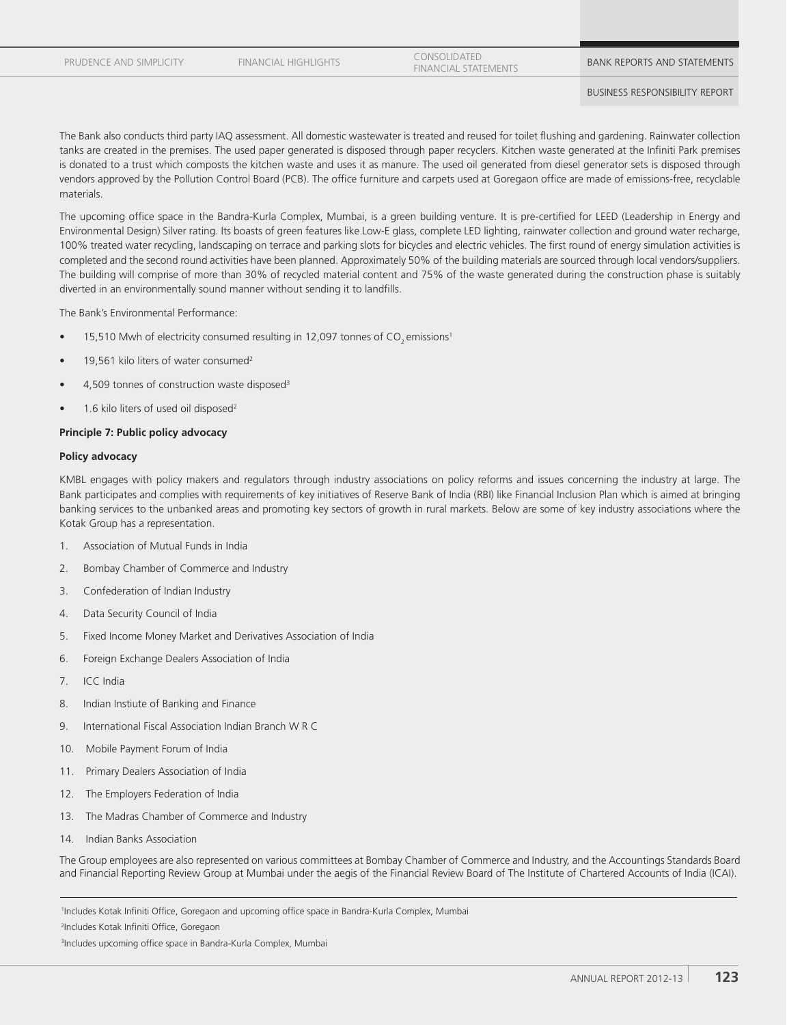FINANCIAL HIGHLIGHTS CONSOLIDATED

EUNSULIDATED<br>FINANCIAL STATEMENTS **BANK REPORTS AND STATEMENTS** 

BUSINESS RESPONSIBILITY REPORT

The Bank also conducts third party IAQ assessment. All domestic wastewater is treated and reused for toilet flushing and gardening. Rainwater collection tanks are created in the premises. The used paper generated is disposed through paper recyclers. Kitchen waste generated at the Infiniti Park premises is donated to a trust which composts the kitchen waste and uses it as manure. The used oil generated from diesel generator sets is disposed through vendors approved by the Pollution Control Board (PCB). The office furniture and carpets used at Goregaon office are made of emissions-free, recyclable materials.

The upcoming office space in the Bandra-Kurla Complex, Mumbai, is a green building venture. It is pre-certified for LEED (Leadership in Energy and Environmental Design) Silver rating. Its boasts of green features like Low-E glass, complete LED lighting, rainwater collection and ground water recharge, 100% treated water recycling, landscaping on terrace and parking slots for bicycles and electric vehicles. The first round of energy simulation activities is completed and the second round activities have been planned. Approximately 50% of the building materials are sourced through local vendors/suppliers. The building will comprise of more than 30% of recycled material content and 75% of the waste generated during the construction phase is suitably diverted in an environmentally sound manner without sending it to landfills.

The Bank's Environmental Performance:

- 15,510 Mwh of electricity consumed resulting in 12,097 tonnes of CO<sub>2</sub> emissions<sup>1</sup>
- 19,561 kilo liters of water consumed<sup>2</sup>
- 4,509 tonnes of construction waste disposed<sup>3</sup>
- 1.6 kilo liters of used oil disposed<sup>2</sup>

#### **Principle 7: Public policy advocacy**

#### **Policy advocacy**

KMBL engages with policy makers and regulators through industry associations on policy reforms and issues concerning the industry at large. The Bank participates and complies with requirements of key initiatives of Reserve Bank of India (RBI) like Financial Inclusion Plan which is aimed at bringing banking services to the unbanked areas and promoting key sectors of growth in rural markets. Below are some of key industry associations where the Kotak Group has a representation.

- 1. Association of Mutual Funds in India
- 2. Bombay Chamber of Commerce and Industry
- 3. Confederation of Indian Industry
- 4. Data Security Council of India
- 5. Fixed Income Money Market and Derivatives Association of India
- 6. Foreign Exchange Dealers Association of India
- 7. ICC India
- 8. Indian Instiute of Banking and Finance
- 9. International Fiscal Association Indian Branch W R C
- 10. Mobile Payment Forum of India
- 11. Primary Dealers Association of India
- 12. The Employers Federation of India
- 13. The Madras Chamber of Commerce and Industry
- 14. Indian Banks Association

The Group employees are also represented on various committees at Bombay Chamber of Commerce and Industry, and the Accountings Standards Board and Financial Reporting Review Group at Mumbai under the aegis of the Financial Review Board of The Institute of Chartered Accounts of India (ICAI).

<sup>1</sup>Includes Kotak Infiniti Office, Goregaon and upcoming office space in Bandra-Kurla Complex, Mumbai

<sup>2</sup>Includes Kotak Infiniti Office, Goregaon

<sup>&</sup>lt;sup>3</sup>Includes upcoming office space in Bandra-Kurla Complex, Mumbai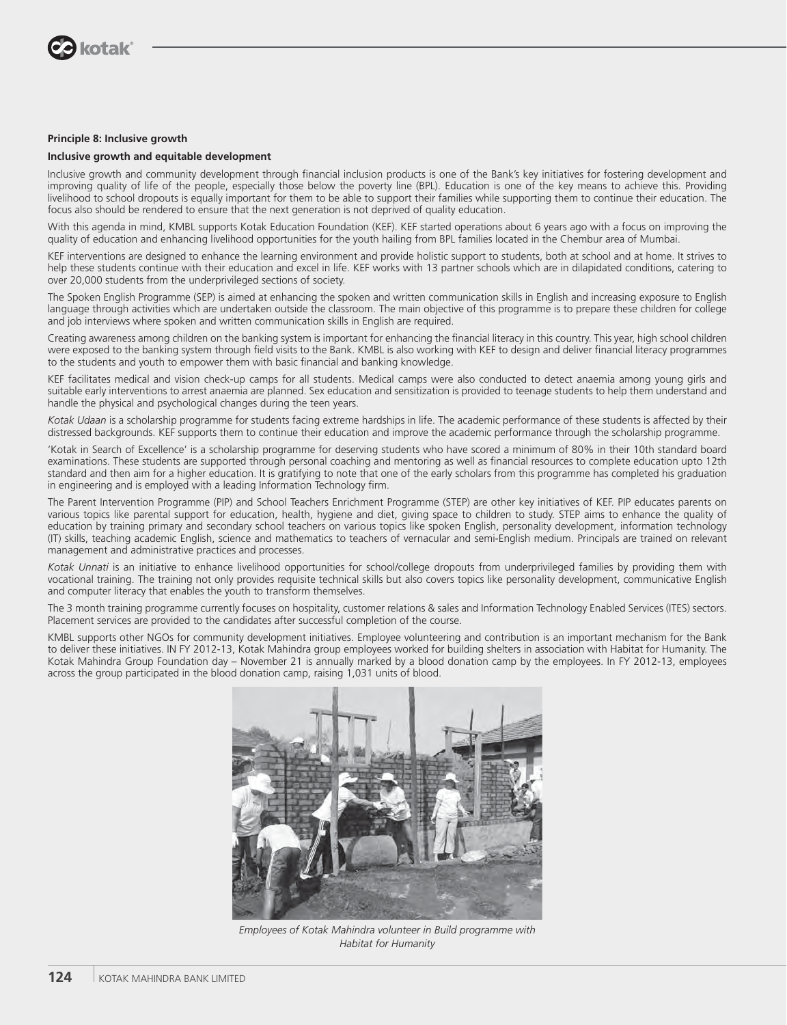

#### **Principle 8: Inclusive growth**

#### **Inclusive growth and equitable development**

Inclusive growth and community development through financial inclusion products is one of the Bank's key initiatives for fostering development and improving quality of life of the people, especially those below the poverty line (BPL). Education is one of the key means to achieve this. Providing livelihood to school dropouts is equally important for them to be able to support their families while supporting them to continue their education. The focus also should be rendered to ensure that the next generation is not deprived of quality education.

With this agenda in mind, KMBL supports Kotak Education Foundation (KEF). KEF started operations about 6 years ago with a focus on improving the quality of education and enhancing livelihood opportunities for the youth hailing from BPL families located in the Chembur area of Mumbai.

KEF interventions are designed to enhance the learning environment and provide holistic support to students, both at school and at home. It strives to help these students continue with their education and excel in life. KEF works with 13 partner schools which are in dilapidated conditions, catering to over 20,000 students from the underprivileged sections of society.

The Spoken English Programme (SEP) is aimed at enhancing the spoken and written communication skills in English and increasing exposure to English language through activities which are undertaken outside the classroom. The main objective of this programme is to prepare these children for college and job interviews where spoken and written communication skills in English are required.

Creating awareness among children on the banking system is important for enhancing the financial literacy in this country. This year, high school children were exposed to the banking system through field visits to the Bank. KMBL is also working with KEF to design and deliver financial literacy programmes to the students and youth to empower them with basic financial and banking knowledge.

KEF facilitates medical and vision check-up camps for all students. Medical camps were also conducted to detect anaemia among young girls and suitable early interventions to arrest anaemia are planned. Sex education and sensitization is provided to teenage students to help them understand and handle the physical and psychological changes during the teen years.

*Kotak Udaan* is a scholarship programme for students facing extreme hardships in life. The academic performance of these students is affected by their distressed backgrounds. KEF supports them to continue their education and improve the academic performance through the scholarship programme.

'Kotak in Search of Excellence' is a scholarship programme for deserving students who have scored a minimum of 80% in their 10th standard board examinations. These students are supported through personal coaching and mentoring as well as financial resources to complete education upto 12th standard and then aim for a higher education. It is gratifying to note that one of the early scholars from this programme has completed his graduation in engineering and is employed with a leading Information Technology firm.

The Parent Intervention Programme (PIP) and School Teachers Enrichment Programme (STEP) are other key initiatives of KEF. PIP educates parents on various topics like parental support for education, health, hygiene and diet, giving space to children to study. STEP aims to enhance the quality of education by training primary and secondary school teachers on various topics like spoken English, personality development, information technology (IT) skills, teaching academic English, science and mathematics to teachers of vernacular and semi-English medium. Principals are trained on relevant management and administrative practices and processes.

*Kotak Unnati* is an initiative to enhance livelihood opportunities for school/college dropouts from underprivileged families by providing them with vocational training. The training not only provides requisite technical skills but also covers topics like personality development, communicative English and computer literacy that enables the youth to transform themselves.

The 3 month training programme currently focuses on hospitality, customer relations & sales and Information Technology Enabled Services (ITES) sectors. Placement services are provided to the candidates after successful completion of the course.

KMBL supports other NGOs for community development initiatives. Employee volunteering and contribution is an important mechanism for the Bank to deliver these initiatives. IN FY 2012-13, Kotak Mahindra group employees worked for building shelters in association with Habitat for Humanity. The Kotak Mahindra Group Foundation day – November 21 is annually marked by a blood donation camp by the employees. In FY 2012-13, employees across the group participated in the blood donation camp, raising 1,031 units of blood.



*Employees of Kotak Mahindra volunteer in Build programme with Habitat for Humanity*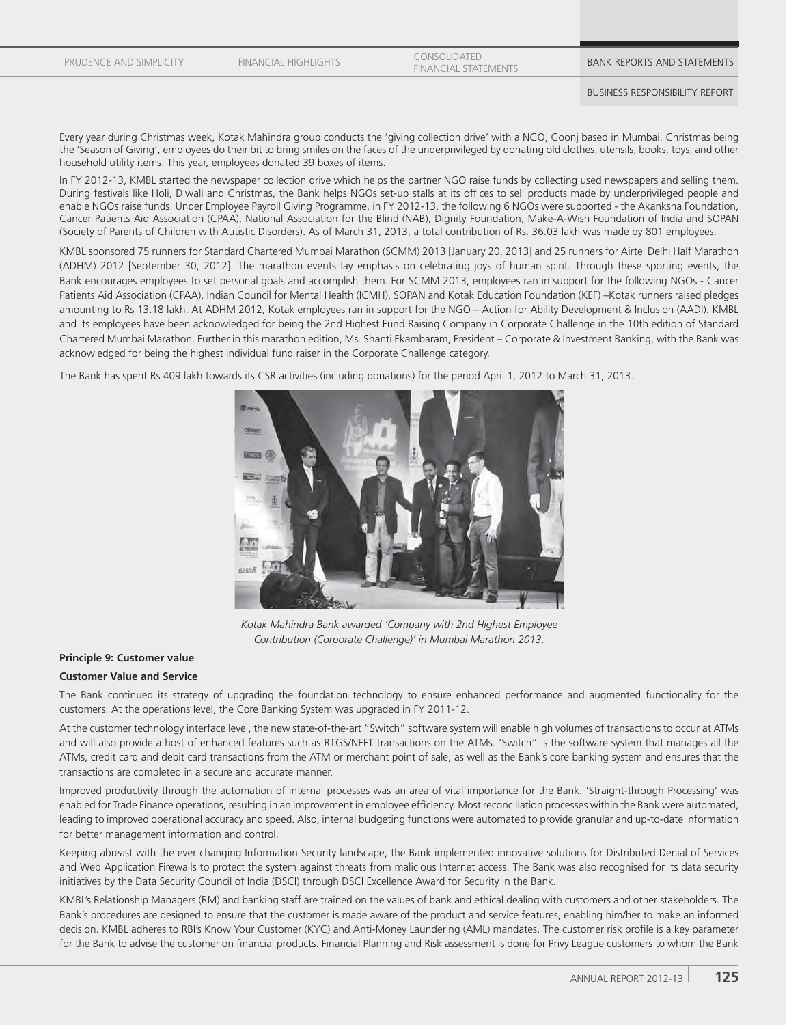PRUDENCE AND SIMPLICITY

FINANCIAL HIGHLIGHTS CONSOLIDATED EUNSULIDATED<br>FINANCIAL STATEMENTS **BANK REPORTS AND STATEMENTS** 

Every year during Christmas week, Kotak Mahindra group conducts the 'giving collection drive' with a NGO, Goonj based in Mumbai. Christmas being the 'Season of Giving', employees do their bit to bring smiles on the faces of the underprivileged by donating old clothes, utensils, books, toys, and other household utility items. This year, employees donated 39 boxes of items.

In FY 2012-13, KMBL started the newspaper collection drive which helps the partner NGO raise funds by collecting used newspapers and selling them. During festivals like Holi, Diwali and Christmas, the Bank helps NGOs set-up stalls at its offices to sell products made by underprivileged people and enable NGOs raise funds. Under Employee Payroll Giving Programme, in FY 2012-13, the following 6 NGOs were supported - the Akanksha Foundation, Cancer Patients Aid Association (CPAA), National Association for the Blind (NAB), Dignity Foundation, Make-A-Wish Foundation of India and SOPAN (Society of Parents of Children with Autistic Disorders). As of March 31, 2013, a total contribution of Rs. 36.03 lakh was made by 801 employees.

KMBL sponsored 75 runners for Standard Chartered Mumbai Marathon (SCMM) 2013 [January 20, 2013] and 25 runners for Airtel Delhi Half Marathon (ADHM) 2012 [September 30, 2012]. The marathon events lay emphasis on celebrating joys of human spirit. Through these sporting events, the Bank encourages employees to set personal goals and accomplish them. For SCMM 2013, employees ran in support for the following NGOs - Cancer Patients Aid Association (CPAA), Indian Council for Mental Health (ICMH), SOPAN and Kotak Education Foundation (KEF) –Kotak runners raised pledges amounting to Rs 13.18 lakh. At ADHM 2012, Kotak employees ran in support for the NGO – Action for Ability Development & Inclusion (AADI). KMBL and its employees have been acknowledged for being the 2nd Highest Fund Raising Company in Corporate Challenge in the 10th edition of Standard Chartered Mumbai Marathon. Further in this marathon edition, Ms. Shanti Ekambaram, President – Corporate & Investment Banking, with the Bank was acknowledged for being the highest individual fund raiser in the Corporate Challenge category.

The Bank has spent Rs 409 lakh towards its CSR activities (including donations) for the period April 1, 2012 to March 31, 2013.



*Kotak Mahindra Bank awarded 'Company with 2nd Highest Employee Contribution (Corporate Challenge)' in Mumbai Marathon 2013.*

#### **Principle 9: Customer value**

#### **Customer Value and Service**

The Bank continued its strategy of upgrading the foundation technology to ensure enhanced performance and augmented functionality for the customers. At the operations level, the Core Banking System was upgraded in FY 2011-12.

At the customer technology interface level, the new state-of-the-art "Switch" software system will enable high volumes of transactions to occur at ATMs and will also provide a host of enhanced features such as RTGS/NEFT transactions on the ATMs. 'Switch" is the software system that manages all the ATMs, credit card and debit card transactions from the ATM or merchant point of sale, as well as the Bank's core banking system and ensures that the transactions are completed in a secure and accurate manner.

Improved productivity through the automation of internal processes was an area of vital importance for the Bank. 'Straight-through Processing' was enabled for Trade Finance operations, resulting in an improvement in employee efficiency. Most reconciliation processes within the Bank were automated, leading to improved operational accuracy and speed. Also, internal budgeting functions were automated to provide granular and up-to-date information for better management information and control.

Keeping abreast with the ever changing Information Security landscape, the Bank implemented innovative solutions for Distributed Denial of Services and Web Application Firewalls to protect the system against threats from malicious Internet access. The Bank was also recognised for its data security initiatives by the Data Security Council of India (DSCI) through DSCI Excellence Award for Security in the Bank.

KMBL's Relationship Managers (RM) and banking staff are trained on the values of bank and ethical dealing with customers and other stakeholders. The Bank's procedures are designed to ensure that the customer is made aware of the product and service features, enabling him/her to make an informed decision. KMBL adheres to RBI's Know Your Customer (KYC) and Anti-Money Laundering (AML) mandates. The customer risk profile is a key parameter for the Bank to advise the customer on financial products. Financial Planning and Risk assessment is done for Privy League customers to whom the Bank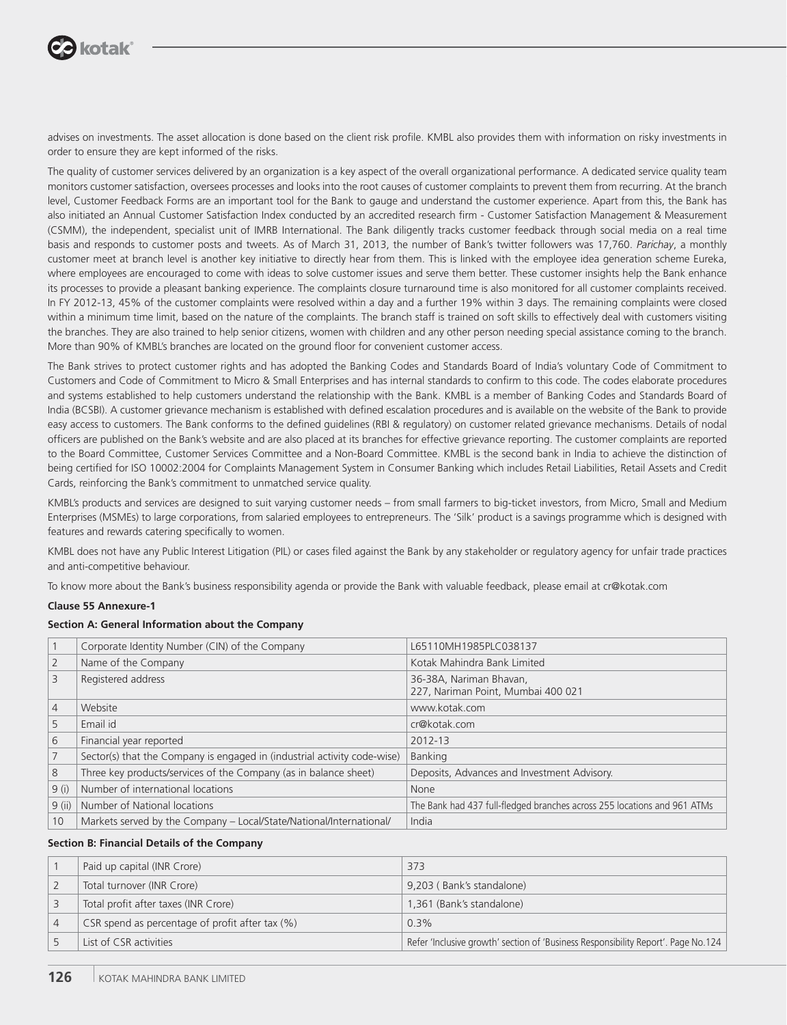

advises on investments. The asset allocation is done based on the client risk profile. KMBL also provides them with information on risky investments in order to ensure they are kept informed of the risks.

The quality of customer services delivered by an organization is a key aspect of the overall organizational performance. A dedicated service quality team monitors customer satisfaction, oversees processes and looks into the root causes of customer complaints to prevent them from recurring. At the branch level, Customer Feedback Forms are an important tool for the Bank to gauge and understand the customer experience. Apart from this, the Bank has also initiated an Annual Customer Satisfaction Index conducted by an accredited research firm - Customer Satisfaction Management & Measurement (CSMM), the independent, specialist unit of IMRB International. The Bank diligently tracks customer feedback through social media on a real time basis and responds to customer posts and tweets. As of March 31, 2013, the number of Bank's twitter followers was 17,760. *Parichay*, a monthly customer meet at branch level is another key initiative to directly hear from them. This is linked with the employee idea generation scheme Eureka, where employees are encouraged to come with ideas to solve customer issues and serve them better. These customer insights help the Bank enhance its processes to provide a pleasant banking experience. The complaints closure turnaround time is also monitored for all customer complaints received. In FY 2012-13, 45% of the customer complaints were resolved within a day and a further 19% within 3 days. The remaining complaints were closed within a minimum time limit, based on the nature of the complaints. The branch staff is trained on soft skills to effectively deal with customers visiting the branches. They are also trained to help senior citizens, women with children and any other person needing special assistance coming to the branch. More than 90% of KMBL's branches are located on the ground floor for convenient customer access.

The Bank strives to protect customer rights and has adopted the Banking Codes and Standards Board of India's voluntary Code of Commitment to Customers and Code of Commitment to Micro & Small Enterprises and has internal standards to confirm to this code. The codes elaborate procedures and systems established to help customers understand the relationship with the Bank. KMBL is a member of Banking Codes and Standards Board of India (BCSBI). A customer grievance mechanism is established with defined escalation procedures and is available on the website of the Bank to provide easy access to customers. The Bank conforms to the defined quidelines (RBI & regulatory) on customer related grievance mechanisms. Details of nodal officers are published on the Bank's website and are also placed at its branches for effective grievance reporting. The customer complaints are reported to the Board Committee, Customer Services Committee and a Non-Board Committee. KMBL is the second bank in India to achieve the distinction of being certified for ISO 10002:2004 for Complaints Management System in Consumer Banking which includes Retail Liabilities, Retail Assets and Credit Cards, reinforcing the Bank's commitment to unmatched service quality.

KMBL's products and services are designed to suit varying customer needs – from small farmers to big-ticket investors, from Micro, Small and Medium Enterprises (MSMEs) to large corporations, from salaried employees to entrepreneurs. The 'Silk' product is a savings programme which is designed with features and rewards catering specifically to women.

KMBL does not have any Public Interest Litigation (PIL) or cases filed against the Bank by any stakeholder or regulatory agency for unfair trade practices and anti-competitive behaviour.

To know more about the Bank's business responsibility agenda or provide the Bank with valuable feedback, please email at cr@kotak.com

#### **Clause 55 Annexure-1**

#### **Section A: General Information about the Company**

|                | Corporate Identity Number (CIN) of the Company                           | L65110MH1985PLC038137                                                    |
|----------------|--------------------------------------------------------------------------|--------------------------------------------------------------------------|
|                | Name of the Company                                                      | Kotak Mahindra Bank Limited                                              |
|                | Registered address                                                       | 36-38A, Nariman Bhavan,<br>227, Nariman Point, Mumbai 400 021            |
| $\overline{4}$ | Website                                                                  | www.kotak.com                                                            |
|                | Email id                                                                 | cr@kotak.com                                                             |
| 6              | Financial year reported                                                  | 2012-13                                                                  |
|                | Sector(s) that the Company is engaged in (industrial activity code-wise) | <b>Banking</b>                                                           |
| 8              | Three key products/services of the Company (as in balance sheet)         | Deposits, Advances and Investment Advisory.                              |
| 9(i)           | Number of international locations                                        | None                                                                     |
| $9$ (ii)       | Number of National locations                                             | The Bank had 437 full-fledged branches across 255 locations and 961 ATMs |
| 10             | Markets served by the Company - Local/State/National/International/      | India                                                                    |

#### **Section B: Financial Details of the Company**

| Paid up capital (INR Crore)                     | 373                                                                               |
|-------------------------------------------------|-----------------------------------------------------------------------------------|
| Total turnover (INR Crore)                      | 9,203 (Bank's standalone)                                                         |
| Total profit after taxes (INR Crore)            | 1,361 (Bank's standalone)                                                         |
| CSR spend as percentage of profit after tax (%) | $0.3\%$                                                                           |
| List of CSR activities                          | Refer 'Inclusive growth' section of 'Business Responsibility Report'. Page No.124 |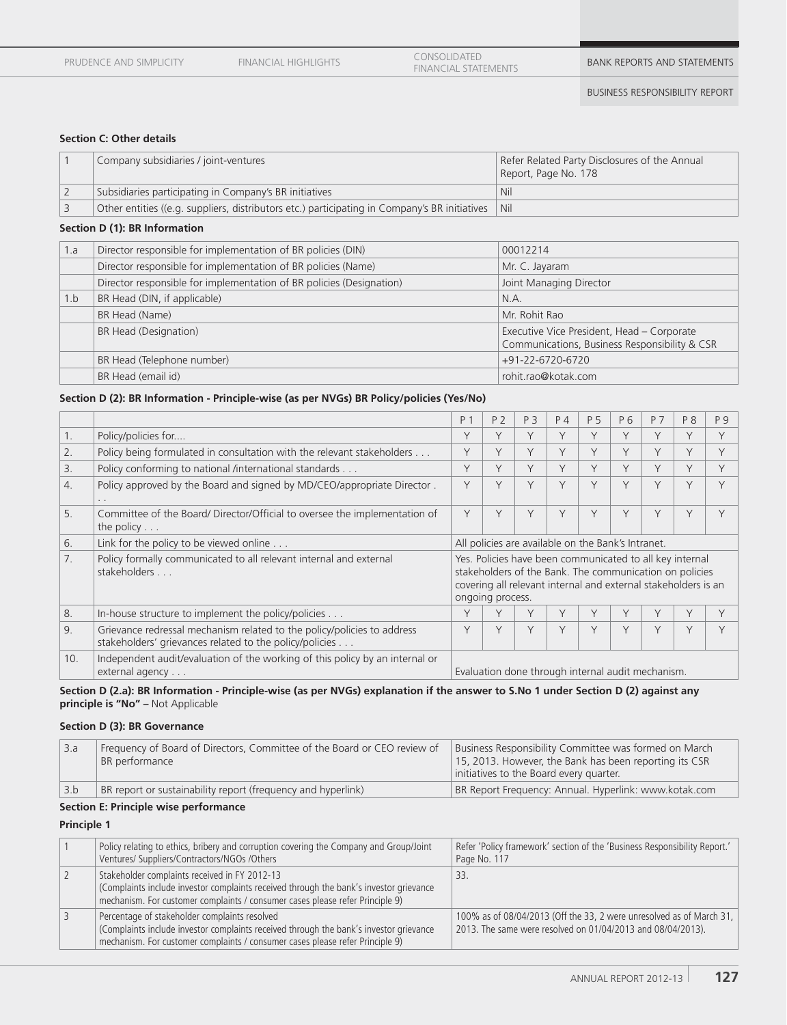EUNSOLIDATED<br>FINANCIAL STATEMENTS **BANK REPORTS AND STATEMENTS** 

## **Section C: Other details**

| Company subsidiaries / joint-ventures                                                                     | Refer Related Party Disclosures of the Annual<br>Report, Page No. 178 |
|-----------------------------------------------------------------------------------------------------------|-----------------------------------------------------------------------|
| Subsidiaries participating in Company's BR initiatives                                                    | <b>Nil</b>                                                            |
| Other entities ((e.g. suppliers, distributors etc.) participating in Company's BR initiatives $\vert$ Nil |                                                                       |

## **Section D (1): BR Information**

| 1.a | Director responsible for implementation of BR policies (DIN)         | 00012214                                                                                    |
|-----|----------------------------------------------------------------------|---------------------------------------------------------------------------------------------|
|     | Director responsible for implementation of BR policies (Name)        | Mr. C. Jayaram                                                                              |
|     | Director responsible for implementation of BR policies (Designation) | Joint Managing Director                                                                     |
| 1.b | BR Head (DIN, if applicable)                                         | N.A.                                                                                        |
|     | BR Head (Name)                                                       | Mr. Rohit Rao                                                                               |
|     | BR Head (Designation)                                                | Executive Vice President, Head - Corporate<br>Communications, Business Responsibility & CSR |
|     | BR Head (Telephone number)                                           | +91-22-6720-6720                                                                            |
|     | BR Head (email id)                                                   | rohit.rao@kotak.com                                                                         |

## **Section D (2): BR Information - Principle-wise (as per NVGs) BR Policy/policies (Yes/No)**

|     |                                                                                                                                    | P <sub>1</sub>                                                                                                                                                                                            | P <sub>2</sub> | P 3    | $P_4$                                              | P 5    | P 6    | P 7       | P 8    | P 9 |
|-----|------------------------------------------------------------------------------------------------------------------------------------|-----------------------------------------------------------------------------------------------------------------------------------------------------------------------------------------------------------|----------------|--------|----------------------------------------------------|--------|--------|-----------|--------|-----|
| 1.  | Policy/policies for                                                                                                                | Υ                                                                                                                                                                                                         | Υ              | V      | V                                                  | $\vee$ | Y      | $\vee$    | Υ      |     |
| 2.  | Policy being formulated in consultation with the relevant stakeholders                                                             | Υ                                                                                                                                                                                                         | Υ              | V      | V                                                  | $\vee$ | $\vee$ | V         | $\vee$ |     |
| 3.  | Policy conforming to national /international standards                                                                             | Υ                                                                                                                                                                                                         | Υ              | Y      | $\vee$                                             | $\vee$ | $\vee$ | $\vee$    | $\vee$ |     |
| 4.  | Policy approved by the Board and signed by MD/CEO/appropriate Director.                                                            | V                                                                                                                                                                                                         | Y              | $\vee$ | $\vee$                                             | $\vee$ | $\vee$ | $\sqrt{}$ | $\vee$ |     |
| 5.  | Committee of the Board/Director/Official to oversee the implementation of<br>the policy $\ldots$                                   | Υ                                                                                                                                                                                                         | Υ              | V      | Y                                                  | $\vee$ | Y      | $\vee$    | V      |     |
| 6.  | Link for the policy to be viewed online                                                                                            |                                                                                                                                                                                                           |                |        | All policies are available on the Bank's Intranet. |        |        |           |        |     |
| 7.  | Policy formally communicated to all relevant internal and external<br>stakeholders                                                 | Yes. Policies have been communicated to all key internal<br>stakeholders of the Bank. The communication on policies<br>covering all relevant internal and external stakeholders is an<br>ongoing process. |                |        |                                                    |        |        |           |        |     |
| 8.  | In-house structure to implement the policy/policies                                                                                |                                                                                                                                                                                                           |                |        | Υ                                                  |        | Υ      |           | V      |     |
| 9.  | Grievance redressal mechanism related to the policy/policies to address<br>stakeholders' grievances related to the policy/policies | V                                                                                                                                                                                                         | Y              | V      | Y                                                  | $\vee$ | Y      | $\sqrt{}$ | $\vee$ |     |
| 10. | Independent audit/evaluation of the working of this policy by an internal or<br>external agency                                    |                                                                                                                                                                                                           |                |        | Evaluation done through internal audit mechanism.  |        |        |           |        |     |

#### **Section D (2.a): BR Information - Principle-wise (as per NVGs) explanation if the answer to S.No 1 under Section D (2) against any principle is "No" –** Not Applicable

#### **Section D (3): BR Governance**

| l 3.a | Frequency of Board of Directors, Committee of the Board or CEO review of<br>BR performance | Business Responsibility Committee was formed on March<br>15, 2013. However, the Bank has been reporting its CSR<br>initiatives to the Board every quarter. |
|-------|--------------------------------------------------------------------------------------------|------------------------------------------------------------------------------------------------------------------------------------------------------------|
| 3.b   | BR report or sustainability report (frequency and hyperlink)                               | BR Report Frequency: Annual. Hyperlink: www.kotak.com                                                                                                      |

# **Section E: Principle wise performance**

**Principle 1**

| Policy relating to ethics, bribery and corruption covering the Company and Group/Joint<br>Ventures/ Suppliers/Contractors/NGOs /Others                                                                                   | Refer 'Policy framework' section of the 'Business Responsibility Report.'<br>Page No. 117                                           |
|--------------------------------------------------------------------------------------------------------------------------------------------------------------------------------------------------------------------------|-------------------------------------------------------------------------------------------------------------------------------------|
| Stakeholder complaints received in FY 2012-13<br>(Complaints include investor complaints received through the bank's investor grievance<br>mechanism. For customer complaints / consumer cases please refer Principle 9) | 33.                                                                                                                                 |
| Percentage of stakeholder complaints resolved<br>(Complaints include investor complaints received through the bank's investor grievance<br>mechanism. For customer complaints / consumer cases please refer Principle 9) | 100% as of 08/04/2013 (Off the 33, 2 were unresolved as of March 31,<br>2013. The same were resolved on 01/04/2013 and 08/04/2013). |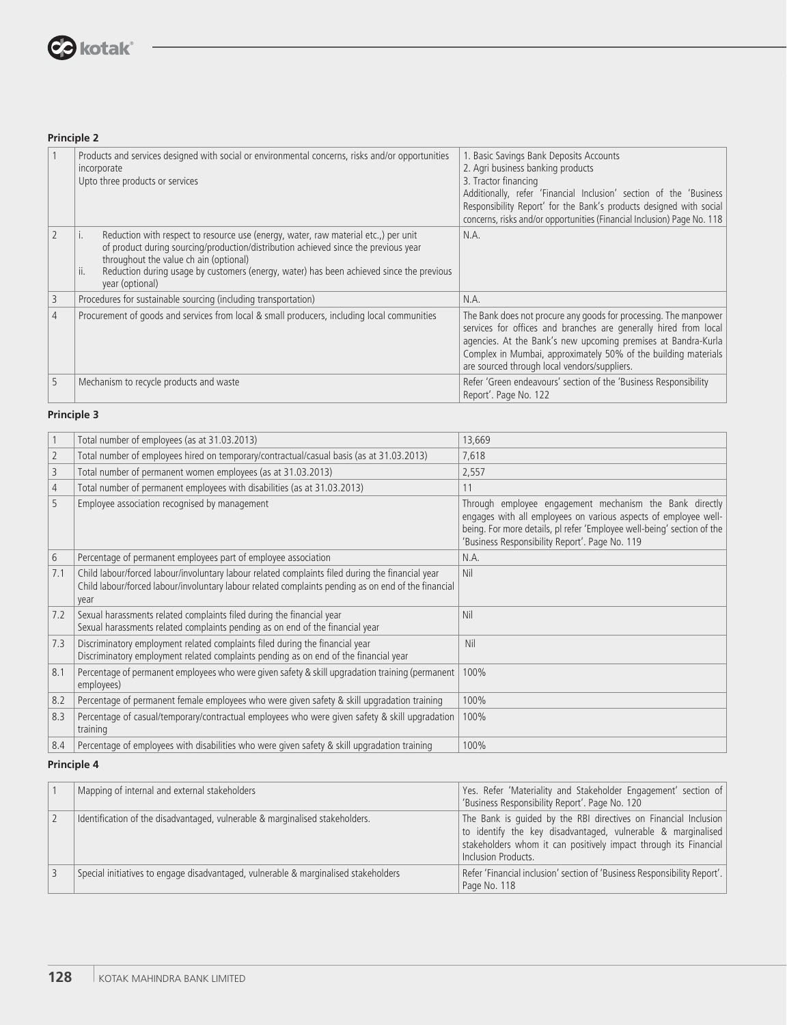

# **Principle 2**

|   | Products and services designed with social or environmental concerns, risks and/or opportunities<br>incorporate<br>Upto three products or services                                                                                                                                                                                               | 1. Basic Savings Bank Deposits Accounts<br>2. Agri business banking products<br>3. Tractor financing<br>Additionally, refer 'Financial Inclusion' section of the 'Business<br>Responsibility Report' for the Bank's products designed with social<br>concerns, risks and/or opportunities (Financial Inclusion) Page No. 118 |
|---|--------------------------------------------------------------------------------------------------------------------------------------------------------------------------------------------------------------------------------------------------------------------------------------------------------------------------------------------------|------------------------------------------------------------------------------------------------------------------------------------------------------------------------------------------------------------------------------------------------------------------------------------------------------------------------------|
|   | Reduction with respect to resource use (energy, water, raw material etc.,) per unit<br>i.<br>of product during sourcing/production/distribution achieved since the previous year<br>throughout the value ch ain (optional)<br>Reduction during usage by customers (energy, water) has been achieved since the previous<br>ii.<br>year (optional) | N.A.                                                                                                                                                                                                                                                                                                                         |
| 3 | Procedures for sustainable sourcing (including transportation)                                                                                                                                                                                                                                                                                   | N.A.                                                                                                                                                                                                                                                                                                                         |
| 4 | Procurement of goods and services from local & small producers, including local communities                                                                                                                                                                                                                                                      | The Bank does not procure any goods for processing. The manpower<br>services for offices and branches are generally hired from local<br>agencies. At the Bank's new upcoming premises at Bandra-Kurla<br>Complex in Mumbai, approximately 50% of the building materials<br>are sourced through local vendors/suppliers.      |
| 5 | Mechanism to recycle products and waste                                                                                                                                                                                                                                                                                                          | Refer 'Green endeavours' section of the 'Business Responsibility<br>Report'. Page No. 122                                                                                                                                                                                                                                    |

# **Principle 3**

| $\mathbf{1}$   | Total number of employees (as at 31.03.2013)                                                                                                                                                                    | 13,669                                                                                                                                                                                                                                                 |
|----------------|-----------------------------------------------------------------------------------------------------------------------------------------------------------------------------------------------------------------|--------------------------------------------------------------------------------------------------------------------------------------------------------------------------------------------------------------------------------------------------------|
| $\overline{2}$ | Total number of employees hired on temporary/contractual/casual basis (as at 31.03.2013)                                                                                                                        | 7,618                                                                                                                                                                                                                                                  |
| 3              | Total number of permanent women employees (as at 31.03.2013)                                                                                                                                                    | 2,557                                                                                                                                                                                                                                                  |
| 4              | Total number of permanent employees with disabilities (as at 31.03.2013)                                                                                                                                        | 11                                                                                                                                                                                                                                                     |
| 5              | Employee association recognised by management                                                                                                                                                                   | Through employee engagement mechanism the Bank directly<br>engages with all employees on various aspects of employee well-<br>being. For more details, pl refer 'Employee well-being' section of the<br>'Business Responsibility Report'. Page No. 119 |
| 6              | Percentage of permanent employees part of employee association                                                                                                                                                  | N.A.                                                                                                                                                                                                                                                   |
| 7.1            | Child labour/forced labour/involuntary labour related complaints filed during the financial year<br>Child labour/forced labour/involuntary labour related complaints pending as on end of the financial<br>year | Nil                                                                                                                                                                                                                                                    |
| 7.2            | Sexual harassments related complaints filed during the financial year<br>Sexual harassments related complaints pending as on end of the financial year                                                          | Nil                                                                                                                                                                                                                                                    |
| 7.3            | Discriminatory employment related complaints filed during the financial year<br>Discriminatory employment related complaints pending as on end of the financial year                                            | Nil                                                                                                                                                                                                                                                    |
| 8.1            | Percentage of permanent employees who were given safety & skill upgradation training (permanent<br>employees)                                                                                                   | 100%                                                                                                                                                                                                                                                   |
| 8.2            | Percentage of permanent female employees who were given safety & skill upgradation training                                                                                                                     | 100%                                                                                                                                                                                                                                                   |
| 8.3            | Percentage of casual/temporary/contractual employees who were given safety & skill upgradation<br>training                                                                                                      | 100%                                                                                                                                                                                                                                                   |
| 8.4            | Percentage of employees with disabilities who were given safety & skill upgradation training                                                                                                                    | 100%                                                                                                                                                                                                                                                   |

# **Principle 4**

| Mapping of internal and external stakeholders                                       | Yes. Refer 'Materiality and Stakeholder Engagement' section of<br>'Business Responsibility Report'. Page No. 120                                                                                                           |
|-------------------------------------------------------------------------------------|----------------------------------------------------------------------------------------------------------------------------------------------------------------------------------------------------------------------------|
| Identification of the disadvantaged, vulnerable & marginalised stakeholders.        | The Bank is quided by the RBI directives on Financial Inclusion<br>to identify the key disadvantaged, vulnerable & marginalised<br>stakeholders whom it can positively impact through its Financial<br>Inclusion Products. |
| Special initiatives to engage disadvantaged, vulnerable & marginalised stakeholders | Refer 'Financial inclusion' section of 'Business Responsibility Report'.<br>Page No. 118                                                                                                                                   |